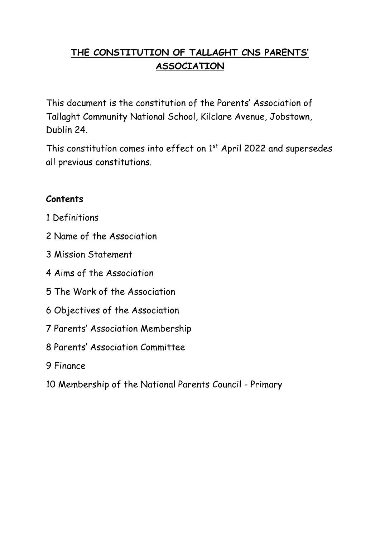# **THE CONSTITUTION OF TALLAGHT CNS PARENTS' ASSOCIATION**

This document is the constitution of the Parents' Association of Tallaght Community National School, Kilclare Avenue, Jobstown, Dublin 24.

This constitution comes into effect on  $1<sup>st</sup>$  April 2022 and supersedes all previous constitutions.

#### **Contents**

- 1 Definitions
- 2 Name of the Association
- 3 Mission Statement
- 4 Aims of the Association
- 5 The Work of the Association
- 6 Objectives of the Association
- 7 Parents' Association Membership
- 8 Parents' Association Committee
- 9 Finance
- 10 Membership of the National Parents Council Primary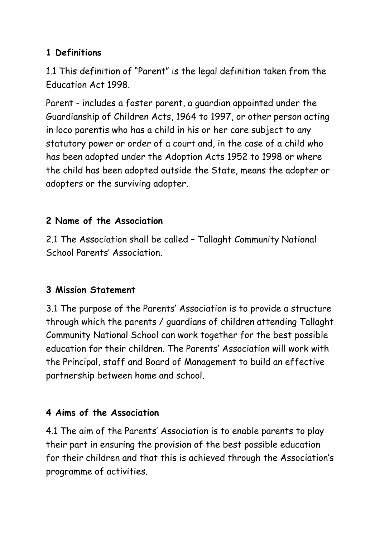### **1 Definitions**

1.1 This definition of "Parent" is the legal definition taken from the Education Act 1998.

Parent - includes a foster parent, a guardian appointed under the Guardianship of Children Acts, 1964 to 1997, or other person acting in loco parentis who has a child in his or her care subject to any statutory power or order of a court and, in the case of a child who has been adopted under the Adoption Acts 1952 to 1998 or where the child has been adopted outside the State, means the adopter or adopters or the surviving adopter.

# **2 Name of the Association**

2.1 The Association shall be called – Tallaght Community National School Parents' Association.

# **3 Mission Statement**

3.1 The purpose of the Parents' Association is to provide a structure through which the parents / guardians of children attending Tallaght Community National School can work together for the best possible education for their children. The Parents' Association will work with the Principal, staff and Board of Management to build an effective partnership between home and school.

### **4 Aims of the Association**

4.1 The aim of the Parents' Association is to enable parents to play their part in ensuring the provision of the best possible education for their children and that this is achieved through the Association's programme of activities.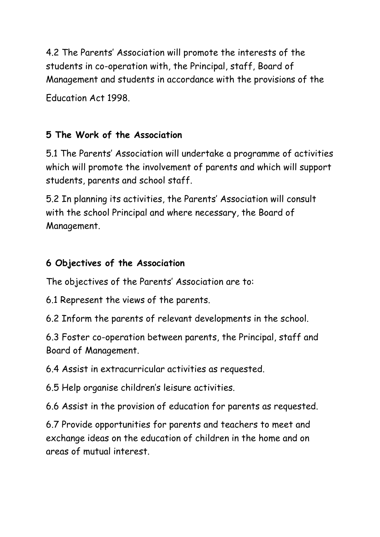4.2 The Parents' Association will promote the interests of the students in co-operation with, the Principal, staff, Board of Management and students in accordance with the provisions of the

Education Act 1998.

# **5 The Work of the Association**

5.1 The Parents' Association will undertake a programme of activities which will promote the involvement of parents and which will support students, parents and school staff.

5.2 In planning its activities, the Parents' Association will consult with the school Principal and where necessary, the Board of Management.

### **6 Objectives of the Association**

The objectives of the Parents' Association are to:

- 6.1 Represent the views of the parents.
- 6.2 Inform the parents of relevant developments in the school.

6.3 Foster co-operation between parents, the Principal, staff and Board of Management.

6.4 Assist in extracurricular activities as requested.

6.5 Help organise children's leisure activities.

6.6 Assist in the provision of education for parents as requested.

6.7 Provide opportunities for parents and teachers to meet and exchange ideas on the education of children in the home and on areas of mutual interest.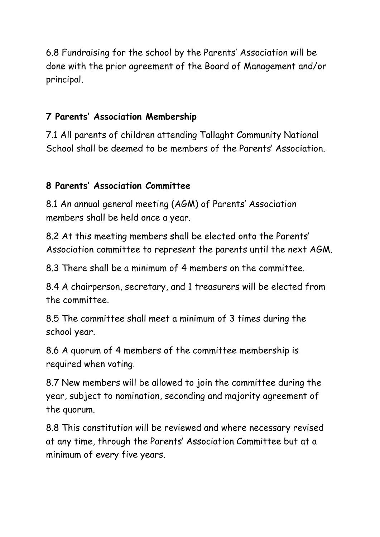6.8 Fundraising for the school by the Parents' Association will be done with the prior agreement of the Board of Management and/or principal.

#### **7 Parents' Association Membership**

7.1 All parents of children attending Tallaght Community National School shall be deemed to be members of the Parents' Association.

#### **8 Parents' Association Committee**

8.1 An annual general meeting (AGM) of Parents' Association members shall be held once a year.

8.2 At this meeting members shall be elected onto the Parents' Association committee to represent the parents until the next AGM.

8.3 There shall be a minimum of 4 members on the committee.

8.4 A chairperson, secretary, and 1 treasurers will be elected from the committee.

8.5 The committee shall meet a minimum of 3 times during the school year.

8.6 A quorum of 4 members of the committee membership is required when voting.

8.7 New members will be allowed to join the committee during the year, subject to nomination, seconding and majority agreement of the quorum.

8.8 This constitution will be reviewed and where necessary revised at any time, through the Parents' Association Committee but at a minimum of every five years.